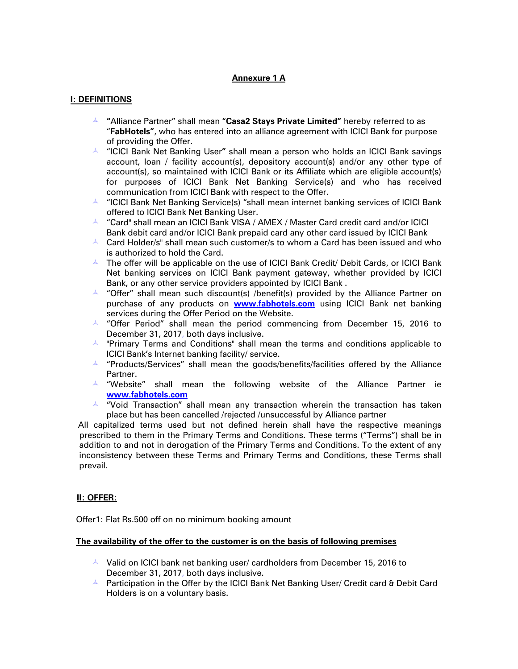## **Annexure 1 A**

### **I: DEFINITIONS**

- **A** "Alliance Partner" shall mean "Casa2 Stays Private Limited" hereby referred to as "**FabHotels"**, who has entered into an alliance agreement with ICICI Bank for purpose of providing the Offer.
- "ICICI Bank Net Banking User**"** shall mean a person who holds an ICICI Bank savings account, loan / facility account(s), depository account(s) and/or any other type of account(s), so maintained with ICICI Bank or its Affiliate which are eligible account(s) for purposes of ICICI Bank Net Banking Service(s) and who has received communication from ICICI Bank with respect to the Offer.
- $\blacktriangle$  "ICICI Bank Net Banking Service(s) "shall mean internet banking services of ICICI Bank offered to ICICI Bank Net Banking User.
- **4** "Card" shall mean an ICICI Bank VISA / AMEX / Master Card credit card and/or ICICI Bank debit card and/or ICICI Bank prepaid card any other card issued by ICICI Bank
- $\overline{a}$  Card Holder/s" shall mean such customer/s to whom a Card has been issued and who is authorized to hold the Card.
- $\blacktriangle$  The offer will be applicable on the use of ICICI Bank Credit/ Debit Cards, or ICICI Bank Net banking services on ICICI Bank payment gateway, whether provided by ICICI Bank, or any other service providers appointed by ICICI Bank .
- $\overline{a}$  "Offer" shall mean such discount(s) /benefit(s) provided by the Alliance Partner on purchase of any products on **[www.fabhotels.com](http://www.fabhotels.com/)** using ICICI Bank net banking services during the Offer Period on the Website.
- $\sim$  "Offer Period" shall mean the period commencing from December 15, 2016 to December 31, 2017, both days inclusive.
- $\blacktriangle$  "Primary Terms and Conditions" shall mean the terms and conditions applicable to ICICI Bank's Internet banking facility/ service.
- $\overline{a}$  "Products/Services" shall mean the goods/benefits/facilities offered by the Alliance Partner.
- $\overline{\phantom{a}}$  "Website" shall mean the following website of the Alliance Partner ie **www.fabhotels.com**
- $\blacktriangle$  "Void Transaction" shall mean any transaction wherein the transaction has taken place but has been cancelled /rejected /unsuccessful by Alliance partner

All capitalized terms used but not defined herein shall have the respective meanings prescribed to them in the Primary Terms and Conditions. These terms ("Terms") shall be in addition to and not in derogation of the Primary Terms and Conditions. To the extent of any inconsistency between these Terms and Primary Terms and Conditions, these Terms shall prevail.

### **II: OFFER:**

Offer1: Flat Rs.500 off on no minimum booking amount

#### **The availability of the offer to the customer is on the basis of following premises**

- $\sim$  Valid on ICICI bank net banking user/ cardholders from December 15, 2016 to December 31, 2017, both days inclusive.
- A Participation in the Offer by the ICICI Bank Net Banking User/ Credit card & Debit Card Holders is on a voluntary basis.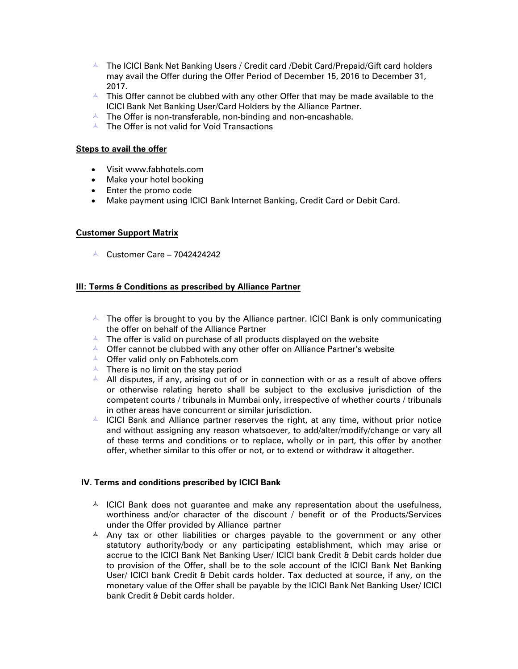- $\overline{a}$  The ICICI Bank Net Banking Users / Credit card /Debit Card/Prepaid/Gift card holders may avail the Offer during the Offer Period of December 15, 2016 to December 31, 2017.
- $\overline{a}$  This Offer cannot be clubbed with any other Offer that may be made available to the ICICI Bank Net Banking User/Card Holders by the Alliance Partner.
- $\blacktriangle$  The Offer is non-transferable, non-binding and non-encashable.
- $\blacktriangle$  The Offer is not valid for Void Transactions

### **Steps to avail the offer**

- Visit www.fabhotels.com
- Make your hotel booking
- Enter the promo code
- Make payment using ICICI Bank Internet Banking, Credit Card or Debit Card.

# **Customer Support Matrix**

 $\triangle$  Customer Care – 7042424242

# **III: Terms & Conditions as prescribed by Alliance Partner**

- $\overline{a}$  The offer is brought to you by the Alliance partner. ICICI Bank is only communicating the offer on behalf of the Alliance Partner
- $\blacktriangle$  The offer is valid on purchase of all products displayed on the website
- $\triangle$  Offer cannot be clubbed with any other offer on Alliance Partner's website
- **A** Offer valid only on Fabhotels.com
- $\triangle$  There is no limit on the stay period
- $\overline{A}$  All disputes, if any, arising out of or in connection with or as a result of above offers or otherwise relating hereto shall be subject to the exclusive jurisdiction of the competent courts / tribunals in Mumbai only, irrespective of whether courts / tribunals in other areas have concurrent or similar jurisdiction.
- $\triangle$  ICICI Bank and Alliance partner reserves the right, at any time, without prior notice and without assigning any reason whatsoever, to add/alter/modify/change or vary all of these terms and conditions or to replace, wholly or in part, this offer by another offer, whether similar to this offer or not, or to extend or withdraw it altogether.

### **IV. Terms and conditions prescribed by ICICI Bank**

- $\sim$  ICICI Bank does not guarantee and make any representation about the usefulness, worthiness and/or character of the discount / benefit or of the Products/Services under the Offer provided by Alliance partner
- $\overline{A}$  Any tax or other liabilities or charges payable to the government or any other statutory authority/body or any participating establishment, which may arise or accrue to the ICICI Bank Net Banking User/ ICICI bank Credit & Debit cards holder due to provision of the Offer, shall be to the sole account of the ICICI Bank Net Banking User/ ICICI bank Credit & Debit cards holder. Tax deducted at source, if any, on the monetary value of the Offer shall be payable by the ICICI Bank Net Banking User/ ICICI bank Credit & Debit cards holder.